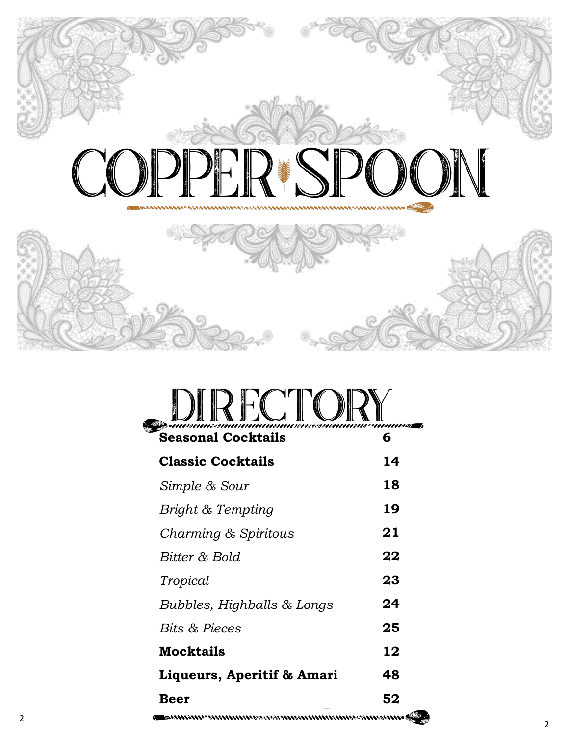

|                           | <del>maasiinesammamminamensaasiinminaasiinmassa</del> |
|---------------------------|-------------------------------------------------------|
| <b>Seasonal Cocktails</b> |                                                       |

| <b>Classic Cocktails</b>   | 14 |
|----------------------------|----|
| Simple & Sour              | 18 |
| Bright & Tempting          | 19 |
| Charming & Spiritous       | 21 |
| Bitter & Bold              | 22 |
| Tropical                   | 23 |
| Bubbles, Highballs & Longs | 24 |
| <b>Bits &amp; Pieces</b>   | 25 |
| <b>Mocktails</b>           | 12 |
| Liqueurs, Aperitif & Amari | 48 |
| Beer                       | 52 |
|                            |    |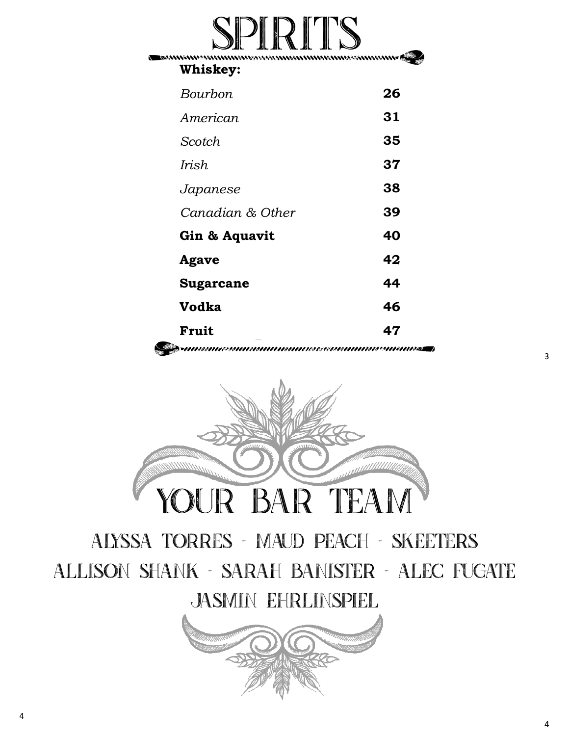# SPIRITS

**Whiskey:** 

| Bourbon          | 26 |
|------------------|----|
| American         | 31 |
| Scotch           | 35 |
| Irish            | 37 |
| Japanese         | 38 |
| Canadian & Other | 39 |
| Gin & Aquavit    | 40 |
| Agave            | 42 |
| <b>Sugarcane</b> | 44 |
| Vodka            | 46 |
| Fruit            | 47 |
|                  |    |



alyssa torres - maud peach - skeeters Allison shank - sarah banister - alec fugate jasmin ehrlinspiel

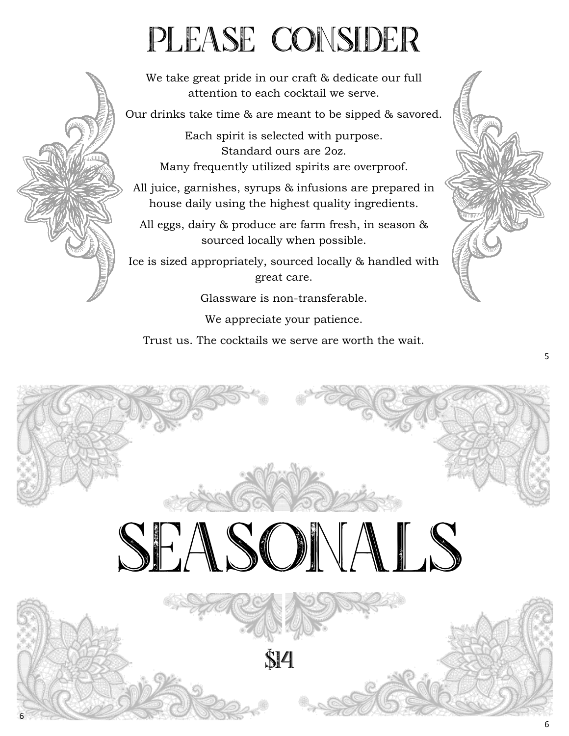# PLEASE CONSIDER

We take great pride in our craft & dedicate our full attention to each cocktail we serve.

Our drinks take time & are meant to be sipped & savored.

Each spirit is selected with purpose. Standard ours are 2oz. Many frequently utilized spirits are overproof.

All juice, garnishes, syrups & infusions are prepared in house daily using the highest quality ingredients.

All eggs, dairy & produce are farm fresh, in season & sourced locally when possible.

Ice is sized appropriately, sourced locally & handled with great care.

Glassware is non-transferable.

We appreciate your patience.

Trust us. The cocktails we serve are worth the wait.

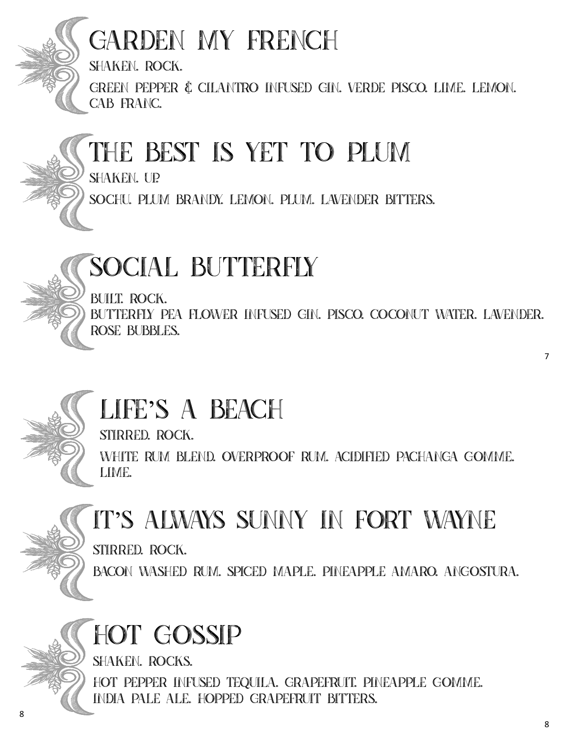

### Garden My French

shaken. rock.

green pepper & cilantro infused gin. verde pisco. lime. lemon. cab franc.

#### The Best Is Yet to Plum

shaken. up.

sochu. plum brandy. lemon. plum. lavender bitters.

#### Social Butterfly

BUILT. ROCK.

butterfly pea flower infused gin. pisco. coconut water. lavender. rose bubbles.

#### Life's a Beach

stirred. rock.

white rum blend. overproof rum. acidified pachanga gomme. lime.



#### It's Always Sunny in Fort Wayne

stirred. rock.

bacon washed rum. spiced maple. pineapple amaro. angostura.

### Hot Gossip

shaken. rocks.

hot pepper infused tequila. grapefruit. pineapple gomme. india pale ale. hopped grapefruit bitters.

8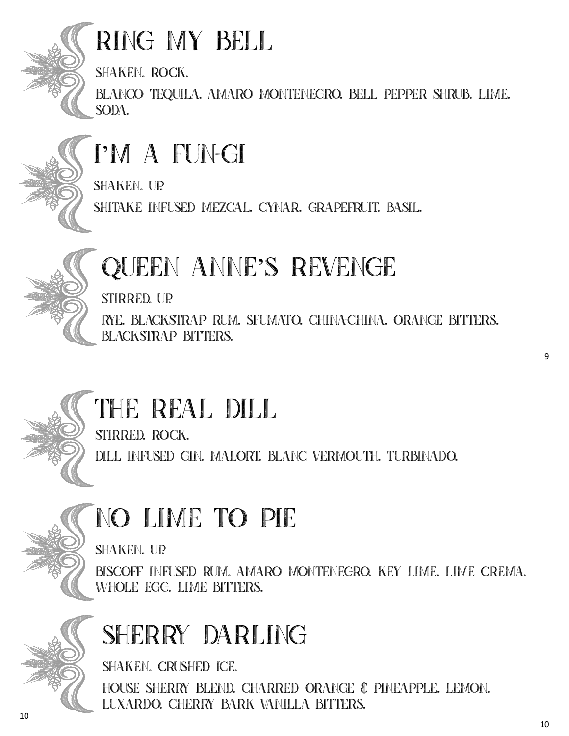

#### Ring My Bell

shaken. rock.

blanco tequila. amaro montenegro. bell pepper shrub. lime. soda.



#### I'm a Fun-Gi

shaken. up.

shitake infused mezcal. cynar. grapefruit. basil.

### QUEEN ANNE'S REVENGE

stirred. up.

rye. blackstrap rum. sfumato. china-china. orange bitters. blackstrap bitters.

stirred. rock.

dill infused gin. malort. Blanc vermouth. turbinado.

### No Lime to Pie

shaken. up.

biscoff infused rum. amaro montenegro. key lime. lime crEma. whole egg. lime bitters.



## SHERRY DARLING

shaken. crushed ice.

house sherry blend. charred orange & pineapple. lemon. luxardo. cherry bark vanilla bitters.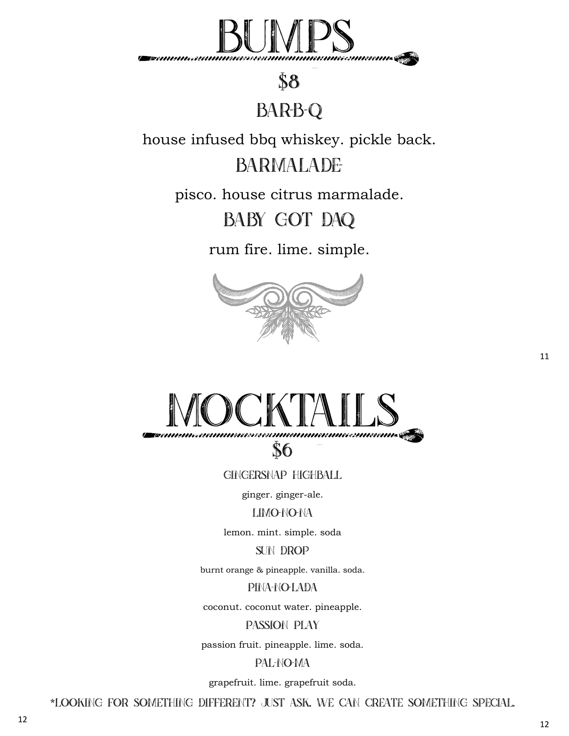

#### \$8

#### **BAR-B-Q**

house infused bbq whiskey. pickle back.

#### **BARMALADE**

pisco. house citrus marmalade.

#### BABY GOT DAQ

rum fire. lime. simple.





Gingersnap Highball

ginger. ginger-ale.

#### LIMO-NO-NA

lemon. mint. simple. soda

SUN DROP

burnt orange & pineapple. vanilla. soda.

PINA-NO-LADA

coconut. coconut water. pineapple.

Passion Play

passion fruit. pineapple. lime. soda.

#### Pal-No-Ma

grapefruit. lime. grapefruit soda.

\*looking for something different? Just ask, we can create something special.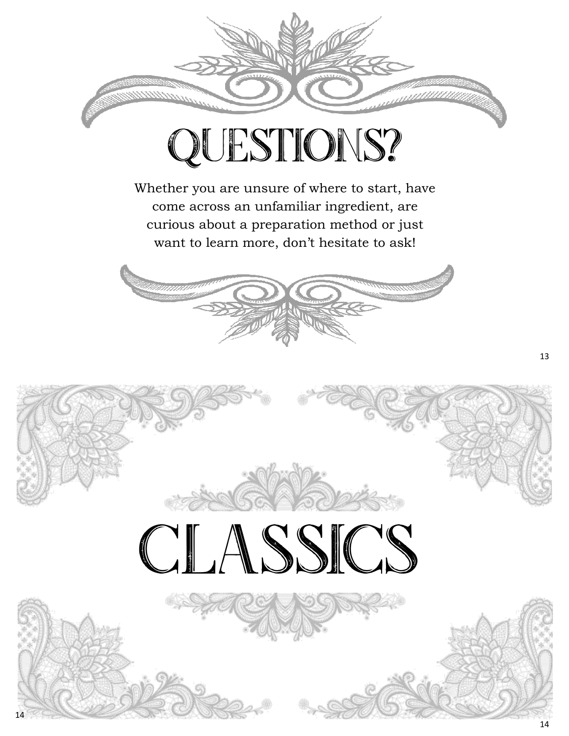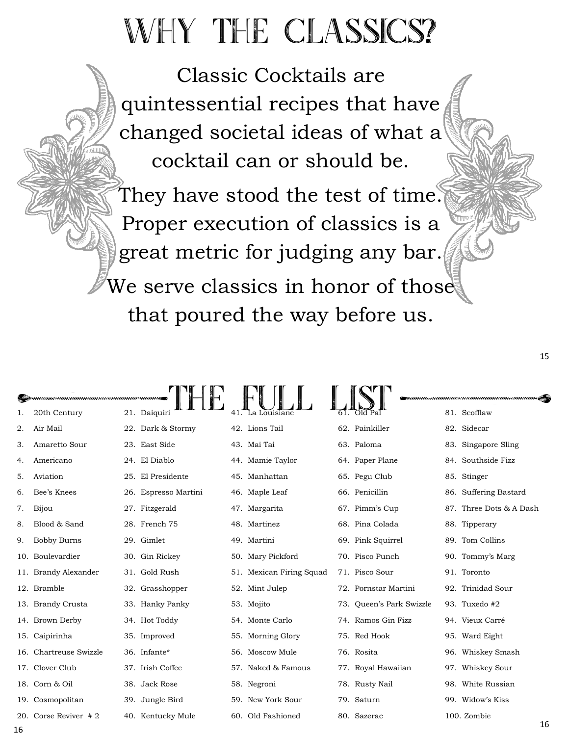# WHY THE CLASSICS?

Classic Cocktails are quintessential recipes that have changed societal ideas of what a cocktail can or should be.

They have stood the test of time. Proper execution of classics is a great metric for judging any bar. We serve classics in honor of those that poured the way before us.

15

|    | <b>Samanasuunnuunnuusasuunnuusvuunna 1</b> |     |                      |                          |                          |                         |    |
|----|--------------------------------------------|-----|----------------------|--------------------------|--------------------------|-------------------------|----|
| 1. | 20th Century                               |     | 21. Daiquiri         |                          |                          | 81. Scofflaw            |    |
| 2. | Air Mail                                   |     | 22. Dark & Stormy    | 42. Lions Tail           | 62. Painkiller           | 82. Sidecar             |    |
| 3. | Amaretto Sour                              |     | 23. East Side        | 43. Mai Tai              | 63. Paloma               | 83. Singapore Sling     |    |
| 4. | Americano                                  |     | 24. El Diablo        | 44. Mamie Taylor         | 64. Paper Plane          | 84. Southside Fizz      |    |
| 5. | Aviation                                   |     | 25. El Presidente    | 45. Manhattan            | 65. Pegu Club            | 85. Stinger             |    |
| 6. | Bee's Knees                                |     | 26. Espresso Martini | 46. Maple Leaf           | 66. Penicillin           | 86. Suffering Bastard   |    |
| 7. | Bijou                                      |     | 27. Fitzgerald       | 47. Margarita            | 67. Pimm's Cup           | 87. Three Dots & A Dash |    |
| 8. | Blood & Sand                               |     | 28. French 75        | 48. Martinez             | 68. Pina Colada          | 88. Tipperary           |    |
| 9. | <b>Bobby Burns</b>                         |     | 29. Gimlet           | 49. Martini              | 69. Pink Squirrel        | 89. Tom Collins         |    |
|    | 10. Boulevardier                           |     | 30. Gin Rickey       | 50. Mary Pickford        | 70. Pisco Punch          | 90. Tommy's Marg        |    |
|    | 11. Brandy Alexander                       |     | 31. Gold Rush        | 51. Mexican Firing Squad | 71. Pisco Sour           | 91. Toronto             |    |
|    | 12. Bramble                                |     | 32. Grasshopper      | 52. Mint Julep           | 72. Pornstar Martini     | 92. Trinidad Sour       |    |
|    | 13. Brandy Crusta                          |     | 33. Hanky Panky      | 53. Mojito               | 73. Queen's Park Swizzle | 93. Tuxedo #2           |    |
|    | 14. Brown Derby                            |     | 34. Hot Toddy        | 54. Monte Carlo          | 74. Ramos Gin Fizz       | 94. Vieux Carré         |    |
|    | 15. Caipirinha                             |     | 35. Improved         | 55. Morning Glory        | 75. Red Hook             | 95. Ward Eight          |    |
|    | 16. Chartreuse Swizzle                     |     | 36. Infante*         | 56. Moscow Mule          | 76. Rosita               | 96. Whiskey Smash       |    |
|    | 17. Clover Club                            |     | 37. Irish Coffee     | 57. Naked & Famous       | 77. Royal Hawaiian       | 97. Whiskey Sour        |    |
|    | 18. Corn & Oil                             |     | 38. Jack Rose        | 58. Negroni              | 78. Rusty Nail           | 98. White Russian       |    |
|    | 19. Cosmopolitan                           |     | 39. Jungle Bird      | 59. New York Sour        | 79. Saturn               | 99. Widow's Kiss        |    |
|    | 20. Corse Reviver #2                       | 40. | Kentucky Mule        | 60. Old Fashioned        | 80. Sazerac              | 100. Zombie             |    |
| c  |                                            |     |                      |                          |                          |                         | 16 |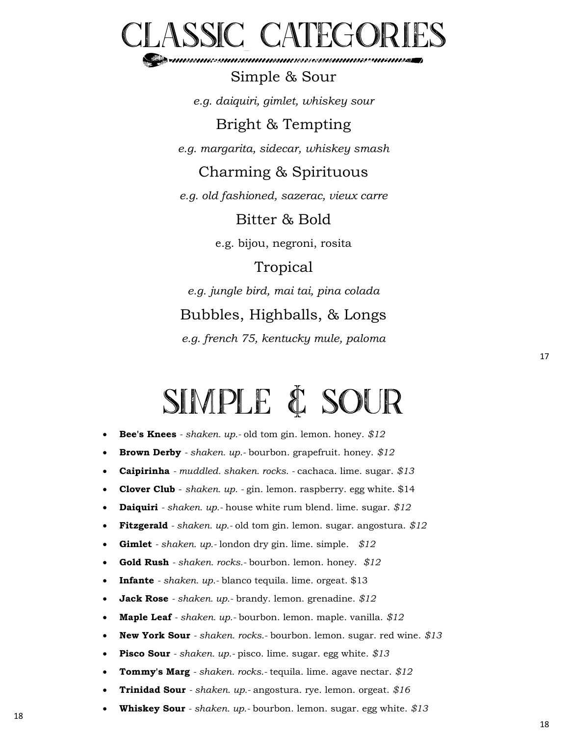

Simple & Sour *e.g. daiquiri, gimlet, whiskey sour* 

Bright & Tempting

*e.g. margarita, sidecar, whiskey smash* 

#### Charming & Spirituous

*e.g. old fashioned, sazerac, vieux carre* 

Bitter & Bold

e.g. bijou, negroni, rosita

#### **Tropical**

*e.g. jungle bird, mai tai, pina colada*  Bubbles, Highballs, & Longs

*e.g. french 75, kentucky mule, paloma* 

### Simple & Sour

- **Bee's Knees** *- shaken. up.-* old tom gin. lemon. honey. *\$12*
- **Brown Derby** *- shaken. up.-* bourbon. grapefruit. honey. *\$12*
- **Caipirinha** *- muddled. shaken. rocks. -* cachaca. lime. sugar. *\$13*
- **Clover Club**  *shaken. up. -* gin. lemon. raspberry. egg white. \$14
- **Daiquiri** *- shaken. up.-* house white rum blend. lime. sugar. *\$12*
- **Fitzgerald** *- shaken. up.-* old tom gin. lemon. sugar. angostura. *\$12*
- **Gimlet** *- shaken. up.-* london dry gin. lime. simple. *\$12*
- **Gold Rush** *- shaken. rocks.-* bourbon. lemon. honey. *\$12*
- **Infante** *- shaken. up.-* blanco tequila. lime. orgeat. \$13
- **Jack Rose** *- shaken. up.-* brandy. lemon. grenadine. *\$12*
- **Maple Leaf** *- shaken. up.-* bourbon. lemon. maple. vanilla. *\$12*
- **New York Sour** *- shaken. rocks.-* bourbon. lemon. sugar. red wine. *\$13*
- **Pisco Sour** *- shaken. up.-* pisco. lime. sugar. egg white. *\$13*
- **Tommy's Marg** *- shaken. rocks.-* tequila. lime. agave nectar. *\$12*
- **Trinidad Sour** *- shaken. up.-* angostura. rye. lemon. orgeat. *\$16*
- **Whiskey Sour** *- shaken. up.-* bourbon. lemon. sugar. egg white. *\$13*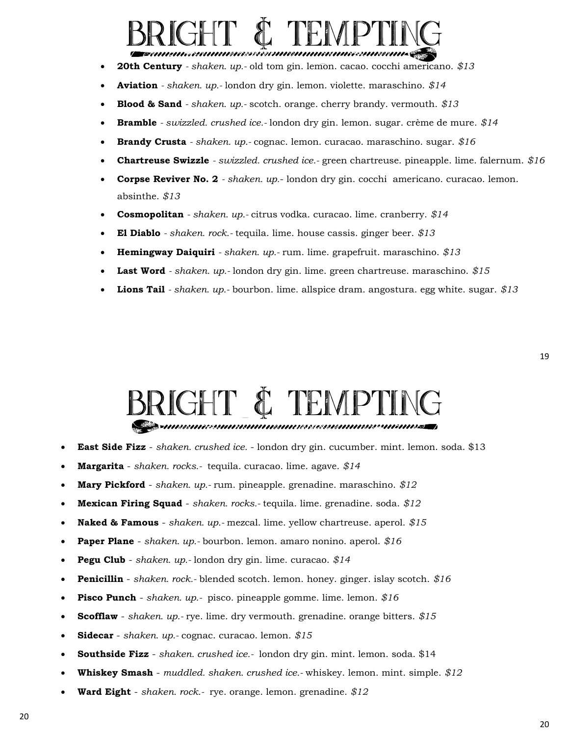# bright & tempting

- **20th Century** *- shaken. up.-* old tom gin. lemon. cacao. cocchi americano. *\$13*
- **Aviation** *- shaken. up.-* london dry gin. lemon. violette. maraschino. *\$14*
- **Blood & Sand** *- shaken. up.-* scotch. orange. cherry brandy. vermouth. *\$13*
- **Bramble** *- swizzled. crushed ice.-* london dry gin. lemon. sugar. crème de mure. *\$14*
- **Brandy Crusta** *- shaken. up.-* cognac. lemon. curacao. maraschino. sugar. *\$16*
- **Chartreuse Swizzle** *- swizzled. crushed ice.-* green chartreuse. pineapple. lime. falernum. *\$16*
- **Corpse Reviver No. 2** *- shaken. up.* london dry gin. cocchi americano. curacao. lemon. absinthe. *\$13*
- **Cosmopolitan** *- shaken. up.-* citrus vodka. curacao. lime. cranberry. *\$14*
- **El Diablo** *- shaken. rock.-* tequila. lime. house cassis. ginger beer. *\$13*
- **Hemingway Daiquiri** *- shaken. up.-* rum. lime. grapefruit. maraschino. *\$13*
- **Last Word** *- shaken. up.-* london dry gin. lime. green chartreuse. maraschino. *\$15*
- **Lions Tail** *- shaken. up.-* bourbon. lime. allspice dram. angostura. egg white. sugar. *\$13*

# BRIGHT & TEMPTING

- **East Side Fizz**  *shaken. crushed ice.*  london dry gin. cucumber. mint. lemon. soda. \$13
- **Margarita** *shaken. rocks.-* tequila. curacao. lime. agave. *\$14*
- **Mary Pickford**  *shaken. up.-* rum. pineapple. grenadine. maraschino. *\$12*
- **Mexican Firing Squad**  *shaken. rocks.-* tequila. lime. grenadine. soda. *\$12*
- **Naked & Famous**  *shaken. up.-* mezcal. lime. yellow chartreuse. aperol. *\$15*
- **Paper Plane**  *shaken. up.-* bourbon. lemon. amaro nonino. aperol. *\$16*
- **Pegu Club**  *shaken. up.-* london dry gin. lime. curacao. *\$14*
- **Penicillin**  *shaken. rock.-* blended scotch. lemon. honey. ginger. islay scotch. *\$16*
- **Pisco Punch**  *shaken. up.-* pisco. pineapple gomme. lime. lemon. *\$16*
- **Scofflaw**  *shaken. up.-* rye. lime. dry vermouth. grenadine. orange bitters. *\$15*
- **Sidecar** *shaken. up.-* cognac. curacao. lemon. *\$15*
- **Southside Fizz**  *shaken. crushed ice.-* london dry gin. mint. lemon. soda. \$14
- **Whiskey Smash**  *muddled. shaken. crushed ice.-* whiskey. lemon. mint. simple. *\$12*
- **Ward Eight**  *shaken. rock.-* rye. orange. lemon. grenadine. *\$12*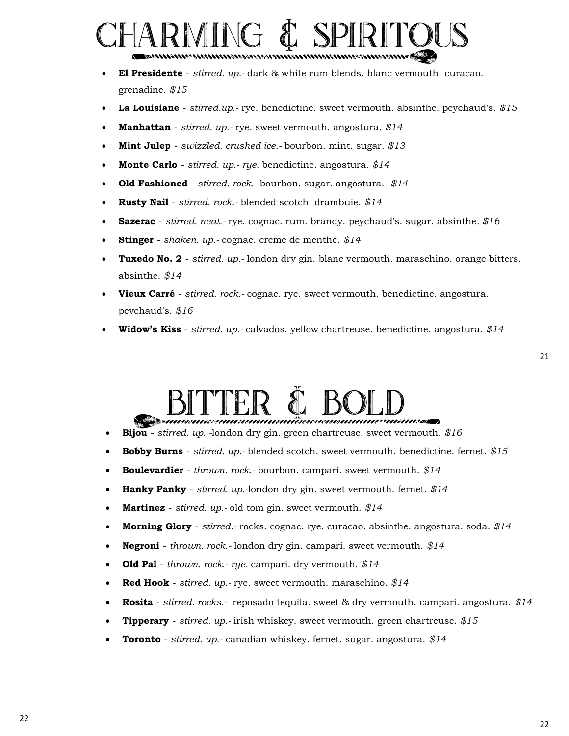# **SMING**

- **El Presidente**  *stirred. up.-* dark & white rum blends. blanc vermouth. curacao. grenadine. *\$15*
- **La Louisiane**  *stirred.up.-* rye. benedictine. sweet vermouth. absinthe. peychaud's. *\$15*
- **Manhattan** *stirred. up.-* rye. sweet vermouth. angostura. *\$14*
- **Mint Julep**  *swizzled. crushed ice.-* bourbon. mint. sugar. *\$13*
- **Monte Carlo**  *stirred. up.- rye.* benedictine. angostura. *\$14*
- **Old Fashioned**  *stirred. rock.-* bourbon. sugar. angostura. *\$14*
- **Rusty Nail**  *stirred. rock.-* blended scotch. drambuie. *\$14*
- **Sazerac** *stirred. neat.-* rye. cognac. rum. brandy. peychaud's. sugar. absinthe*. \$16*
- **Stinger**  *shaken. up.-* cognac. crème de menthe. *\$14*
- **Tuxedo No. 2**  *stirred. up.-* london dry gin. blanc vermouth. maraschino. orange bitters. absinthe. *\$14*
- **Vieux Carré**  *stirred. rock.-* cognac. rye. sweet vermouth. benedictine. angostura. peychaud's. *\$16*
- **Widow's Kiss**  *stirred. up.-* calvados. yellow chartreuse. benedictine. angostura. *\$14*

## BITTER & BOLD

- **Bijou**  *stirred. up. -*london dry gin. green chartreuse. sweet vermouth. *\$16*
- **Bobby Burns**  *stirred. up.-* blended scotch. sweet vermouth. benedictine. fernet. *\$15*
- **Boulevardier** *thrown. rock.-* bourbon. campari. sweet vermouth. *\$14*
- **Hanky Panky**  *stirred. up.-*london dry gin. sweet vermouth. fernet. *\$14*
- **Martinez**  *stirred. up.-* old tom gin. sweet vermouth. *\$14*
- **Morning Glory**  *stirred.-* rocks. cognac. rye. curacao. absinthe. angostura. soda. *\$14*
- **Negroni**  *thrown. rock.-* london dry gin. campari. sweet vermouth. *\$14*
- **Old Pal**  *thrown. rock.- rye.* campari. dry vermouth. *\$14*
- **Red Hook**  *stirred. up.-* rye. sweet vermouth. maraschino. *\$14*
- **Rosita** *stirred. rocks.-* reposado tequila. sweet & dry vermouth. campari. angostura. *\$14*
- **Tipperary**  *stirred. up.-* irish whiskey. sweet vermouth. green chartreuse. *\$15*
- **Toronto**  *stirred. up.-* canadian whiskey. fernet. sugar. angostura. *\$14*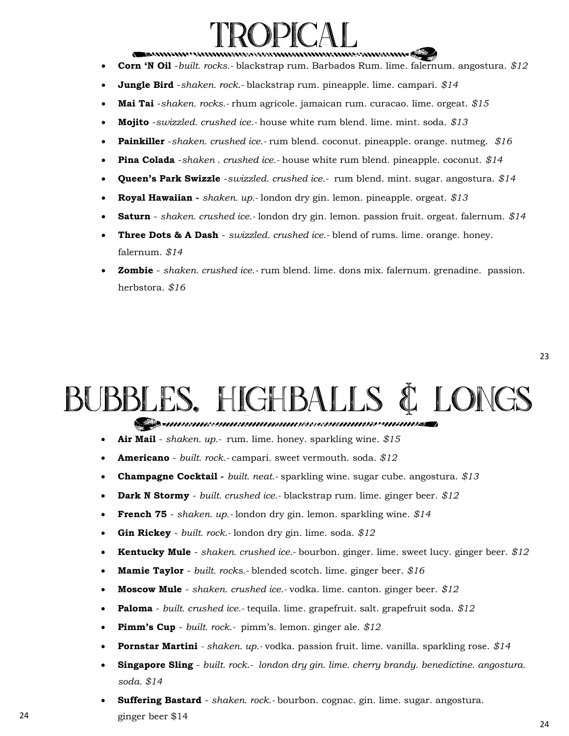## **TROPICAL**

- **Corn 'N Oil** -*built. rocks.-* blackstrap rum. Barbados Rum. lime. falernum. angostura. *\$12*
- **Jungle Bird** -*shaken. rock.-* blackstrap rum. pineapple. lime. campari. *\$14*
- **Mai Tai** -*shaken. rocks.-* rhum agricole. jamaican rum. curacao. lime. orgeat. *\$15*
- **Mojito** -*swizzled. crushed ice.-* house white rum blend. lime. mint. soda. *\$13*
- **Painkiller** -*shaken. crushed ice.-* rum blend. coconut. pineapple. orange. nutmeg. *\$16*
- **Pina Colada** -*shaken . crushed ice.-* house white rum blend. pineapple. coconut. *\$14*
- **Queen's Park Swizzle** -*swizzled. crushed ice.-* rum blend. mint. sugar. angostura. *\$14*
- **Royal Hawaiian -** *shaken. up.-* london dry gin. lemon. pineapple. orgeat. *\$13*
- **Saturn**  *shaken. crushed ice.-* london dry gin. lemon. passion fruit. orgeat. falernum. *\$14*
- **Three Dots & A Dash**  *swizzled. crushed ice.-* blend of rums. lime. orange. honey. falernum. *\$14*
- **Zombie**  *shaken. crushed ice.-* rum blend. lime. dons mix. falernum. grenadine. passion. herbstora. *\$16*

# BUBBLES, HIGHBALLS & LONGS

- **Air Mail**  *shaken. up.-* rum. lime. honey. sparkling wine. *\$15*
- **Americano** *built. rock.-* campari. sweet vermouth. soda. *\$12*
- **Champagne Cocktail -** *built. neat.-* sparkling wine. sugar cube. angostura. *\$13*
- **Dark N Stormy**  *built. crushed ice.-* blackstrap rum. lime. ginger beer. *\$12*
- **French 75**  *shaken. up.-* london dry gin. lemon. sparkling wine. *\$14*
- **Gin Rickey**  *built. rock.-* london dry gin. lime. soda. *\$12*
- **Kentucky Mule**  *shaken. crushed ice.-* bourbon. ginger. lime. sweet lucy. ginger beer. *\$12*
- **Mamie Taylor**  *built. rocks.-* blended scotch. lime. ginger beer. *\$16*
- **Moscow Mule**  *shaken. crushed ice.-* vodka. lime. canton. ginger beer. *\$12*
- **Paloma** *built. crushed ice.-* tequila. lime. grapefruit. salt. grapefruit soda. *\$12*
- **Pimm's Cup**  *built. rock.-* pimm's. lemon. ginger ale. *\$12*
- **Pornstar Martini** *- shaken. up.-* vodka. passion fruit. lime. vanilla. sparkling rose. *\$14*
- **Singapore Sling**  *built. rock.- london dry gin. lime. cherry brandy. benedictine. angostura. soda. \$14*
- **Suffering Bastard**  *shaken. rock.-* bourbon. cognac. gin. lime. sugar. angostura. 24 ginger beer \$14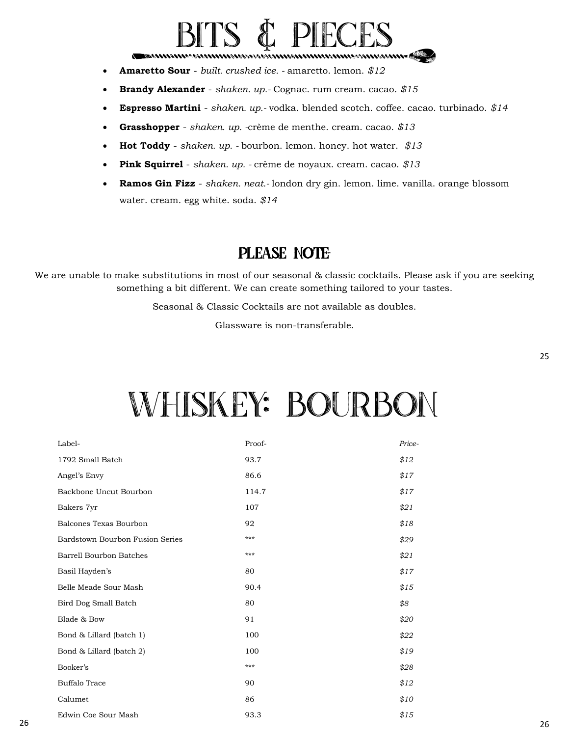# BITS & PIECES

- **Amaretto Sour**  *built. crushed ice. -* amaretto. lemon. *\$12*
- **Brandy Alexander**  *shaken. up.-* Cognac. rum cream. cacao. *\$15*
- **Espresso Martini**  *shaken. up.-* vodka. blended scotch. coffee. cacao. turbinado. *\$14*
- **Grasshopper**  *shaken. up. -*crème de menthe. cream. cacao. *\$13*
- **Hot Toddy**  *shaken. up. -* bourbon. lemon. honey. hot water. *\$13*
- **Pink Squirrel**  *shaken. up. -* crème de noyaux. cream. cacao. *\$13*
- **Ramos Gin Fizz**  *shaken. neat.-* london dry gin. lemon. lime. vanilla. orange blossom water. cream. egg white. soda. *\$14*

#### PLEASE NOTE-

We are unable to make substitutions in most of our seasonal & classic cocktails. Please ask if you are seeking something a bit different. We can create something tailored to your tastes.

Seasonal & Classic Cocktails are not available as doubles.

Glassware is non-transferable.

## Whiskey: Bourbon

| Label-                          | Proof- | Price- |
|---------------------------------|--------|--------|
| 1792 Small Batch                | 93.7   | \$12   |
| Angel's Envy                    | 86.6   | \$17   |
| Backbone Uncut Bourbon          | 114.7  | \$17   |
| Bakers 7yr                      | 107    | \$21   |
| Balcones Texas Bourbon          | 92     | \$18   |
| Bardstown Bourbon Fusion Series | ***    | \$29   |
| <b>Barrell Bourbon Batches</b>  | ***    | \$21   |
| Basil Hayden's                  | 80     | \$17   |
| Belle Meade Sour Mash           | 90.4   | \$15   |
| Bird Dog Small Batch            | 80     | \$8    |
| Blade & Bow                     | 91     | \$20   |
| Bond & Lillard (batch 1)        | 100    | \$22   |
| Bond & Lillard (batch 2)        | 100    | \$19   |
| Booker's                        | ***    | \$28   |
| <b>Buffalo Trace</b>            | 90     | \$12   |
| Calumet                         | 86     | \$10   |
| Edwin Coe Sour Mash             | 93.3   | \$15   |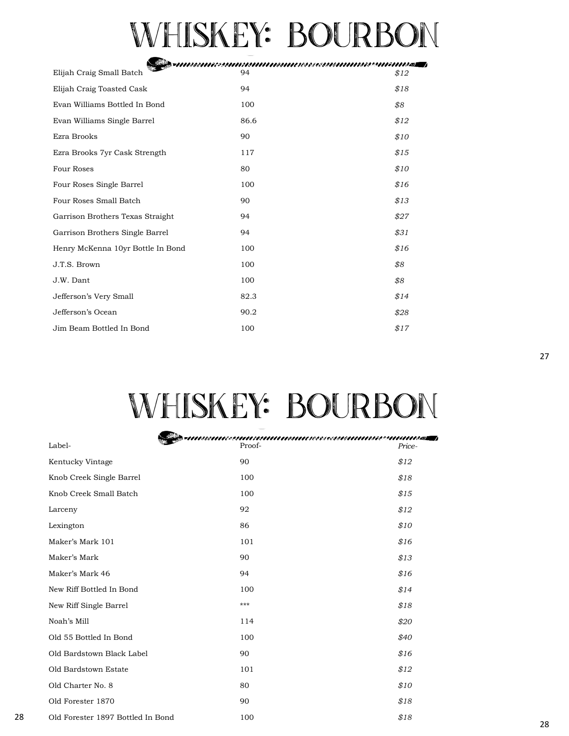# WHISKEY: BOURBON

|                                   | $\blacktriangleright$ with a subsequently contributed by the second contribution of $\blacktriangleright$ |      |
|-----------------------------------|-----------------------------------------------------------------------------------------------------------|------|
| Elijah Craig Small Batch          | 94                                                                                                        | \$12 |
| Elijah Craig Toasted Cask         | 94                                                                                                        | \$18 |
| Evan Williams Bottled In Bond     | 100                                                                                                       | \$8  |
| Evan Williams Single Barrel       | 86.6                                                                                                      | \$12 |
| Ezra Brooks                       | 90                                                                                                        | \$10 |
| Ezra Brooks 7yr Cask Strength     | 117                                                                                                       | \$15 |
| Four Roses                        | 80                                                                                                        | \$10 |
| Four Roses Single Barrel          | 100                                                                                                       | \$16 |
| Four Roses Small Batch            | 90                                                                                                        | \$13 |
| Garrison Brothers Texas Straight  | 94                                                                                                        | \$27 |
| Garrison Brothers Single Barrel   | 94                                                                                                        | \$31 |
| Henry McKenna 10yr Bottle In Bond | 100                                                                                                       | \$16 |
| J.T.S. Brown                      | 100                                                                                                       | \$8  |
| J.W. Dant                         | 100                                                                                                       | \$8  |
| Jefferson's Very Small            | 82.3                                                                                                      | \$14 |
| Jefferson's Ocean                 | 90.2                                                                                                      | \$28 |
| Jim Beam Bottled In Bond          | 100                                                                                                       | \$17 |

# WHISKEY: BOURBON

|    |                                   | TIIINISIINEESSIIIIESIIIIIIIIIIESIIIESEESSI/IIEIIESEESSIIIEIIIIIIITTO JA T |        |
|----|-----------------------------------|---------------------------------------------------------------------------|--------|
|    | Label-                            | Proof-                                                                    | Price- |
|    | Kentucky Vintage                  | 90                                                                        | \$12   |
|    | Knob Creek Single Barrel          | 100                                                                       | \$18   |
|    | Knob Creek Small Batch            | 100                                                                       | \$15   |
|    | Larceny                           | 92                                                                        | \$12   |
|    | Lexington                         | 86                                                                        | \$10   |
|    | Maker's Mark 101                  | 101                                                                       | \$16   |
|    | Maker's Mark                      | 90                                                                        | \$13   |
|    | Maker's Mark 46                   | 94                                                                        | \$16   |
|    | New Riff Bottled In Bond          | 100                                                                       | \$14   |
|    | New Riff Single Barrel            | $***$                                                                     | \$18   |
|    | Noah's Mill                       | 114                                                                       | \$20   |
|    | Old 55 Bottled In Bond            | 100                                                                       | \$40   |
|    | Old Bardstown Black Label         | 90                                                                        | \$16   |
|    | Old Bardstown Estate              | 101                                                                       | \$12   |
|    | Old Charter No. 8                 | 80                                                                        | \$10   |
|    | Old Forester 1870                 | 90                                                                        | \$18   |
| 28 | Old Forester 1897 Bottled In Bond | 100                                                                       | \$18   |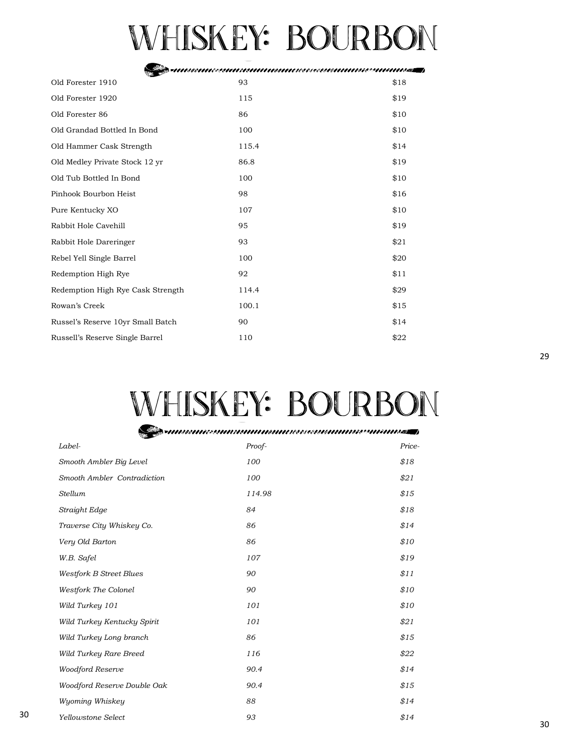# Whiskey: Bourbon

| Old Forester 1910                 | 93    | \$18 |
|-----------------------------------|-------|------|
| Old Forester 1920                 | 115   | \$19 |
| Old Forester 86                   | 86    | \$10 |
| Old Grandad Bottled In Bond       | 100   | \$10 |
| Old Hammer Cask Strength          | 115.4 | \$14 |
| Old Medley Private Stock 12 yr    | 86.8  | \$19 |
| Old Tub Bottled In Bond           | 100   | \$10 |
| Pinhook Bourbon Heist             | 98    | \$16 |
| Pure Kentucky XO                  | 107   | \$10 |
| Rabbit Hole Cavehill              | 95    | \$19 |
| Rabbit Hole Dareringer            | 93    | \$21 |
| Rebel Yell Single Barrel          | 100   | \$20 |
| Redemption High Rye               | 92    | \$11 |
| Redemption High Rye Cask Strength | 114.4 | \$29 |
| Rowan's Creek                     | 100.1 | \$15 |
| Russel's Reserve 10yr Small Batch | 90    | \$14 |
| Russell's Reserve Single Barrel   | 110   | \$22 |

# Whiskey: Bourbon

Sermaaniasuurinninnanninaasuunninaasuurinnas

| Label-                         | Proof- | Price- |
|--------------------------------|--------|--------|
| Smooth Ambler Big Level        | 100    | \$18   |
| Smooth Ambler Contradiction    | 100    | \$21   |
| Stellum                        | 114.98 | \$15   |
| Straight Edge                  | 84     | \$18   |
| Traverse City Whiskey Co.      | 86     | \$14   |
| Very Old Barton                | 86     | \$10   |
| W.B. Safel                     | 107    | \$19   |
| <b>Westfork B Street Blues</b> | 90     | \$11   |
| <b>Westfork The Colonel</b>    | 90     | \$10   |
| Wild Turkey 101                | 101    | \$10   |
| Wild Turkey Kentucky Spirit    | 101    | \$21   |
| Wild Turkey Long branch        | 86     | \$15   |
| Wild Turkey Rare Breed         | 116    | \$22   |
| <b>Woodford Reserve</b>        | 90.4   | \$14   |
| Woodford Reserve Double Oak    | 90.4   | \$15   |
| Wyoming Whiskey                | 88     | \$14   |
| Yellowstone Select             | 93     | \$14   |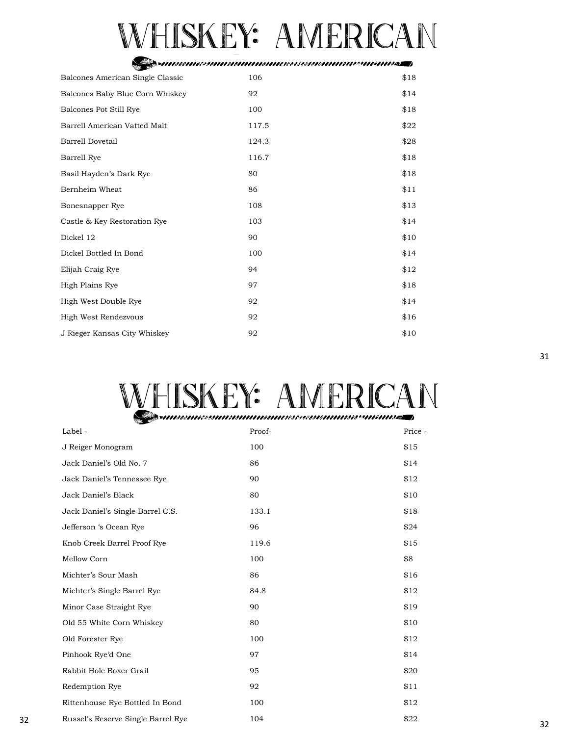# WHISKEY: AMERICAN

#### Sestimosmassuunnumonnassassuunnusassuunnas j

| Balcones American Single Classic | 106   | \$18 |
|----------------------------------|-------|------|
| Balcones Baby Blue Corn Whiskey  | 92    | \$14 |
| Balcones Pot Still Rye           | 100   | \$18 |
| Barrell American Vatted Malt     | 117.5 | \$22 |
| <b>Barrell Dovetail</b>          | 124.3 | \$28 |
| <b>Barrell Rye</b>               | 116.7 | \$18 |
| Basil Hayden's Dark Rye          | 80    | \$18 |
| Bernheim Wheat                   | 86    | \$11 |
| Bonesnapper Rye                  | 108   | \$13 |
| Castle & Key Restoration Rye     | 103   | \$14 |
| Dickel 12                        | 90    | \$10 |
| Dickel Bottled In Bond           | 100   | \$14 |
| Elijah Craig Rye                 | 94    | \$12 |
| High Plains Rye                  | 97    | \$18 |
| High West Double Rye             | 92    | \$14 |
| High West Rendezvous             | 92    | \$16 |
| J Rieger Kansas City Whiskey     | 92    | \$10 |

# WHISKEY: AMERICAN

| Label -                            | Proof- | Price - |
|------------------------------------|--------|---------|
| J Reiger Monogram                  | 100    | \$15    |
| Jack Daniel's Old No. 7            | 86     | \$14    |
| Jack Daniel's Tennessee Rye        | 90     | \$12    |
| Jack Daniel's Black                | 80     | \$10    |
| Jack Daniel's Single Barrel C.S.   | 133.1  | \$18    |
| Jefferson 's Ocean Rye             | 96     | \$24    |
| Knob Creek Barrel Proof Rye        | 119.6  | \$15    |
| Mellow Corn                        | 100    | \$8     |
| Michter's Sour Mash                | 86     | \$16    |
| Michter's Single Barrel Rye        | 84.8   | \$12    |
| Minor Case Straight Rye            | 90     | \$19    |
| Old 55 White Corn Whiskey          | 80     | \$10    |
| Old Forester Rye                   | 100    | \$12    |
| Pinhook Rye'd One                  | 97     | \$14    |
| Rabbit Hole Boxer Grail            | 95     | \$20    |
| <b>Redemption Rye</b>              | 92     | \$11    |
| Rittenhouse Rye Bottled In Bond    | 100    | \$12    |
| Russel's Reserve Single Barrel Rye | 104    | \$22    |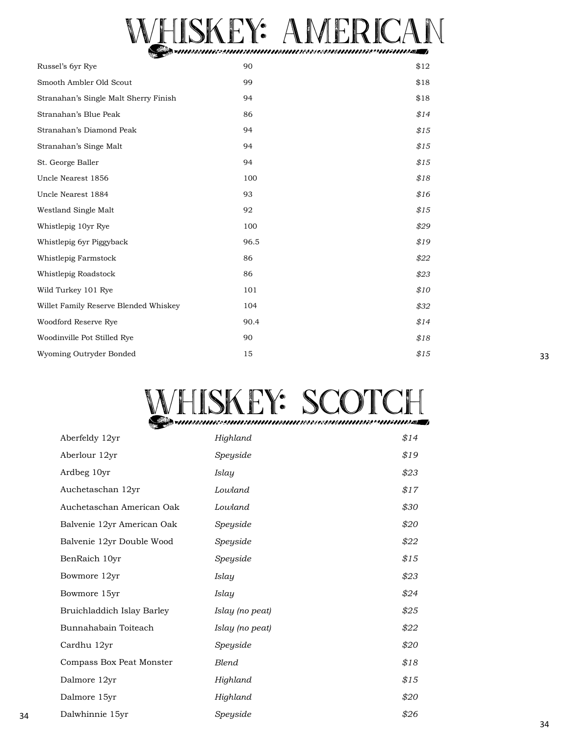# WHISKEY: AMERICAN

| Russel's 6yr Rye                      | 90   | \$12 |
|---------------------------------------|------|------|
| Smooth Ambler Old Scout               | 99   | \$18 |
| Stranahan's Single Malt Sherry Finish | 94   | \$18 |
| Stranahan's Blue Peak                 | 86   | \$14 |
| Stranahan's Diamond Peak              | 94   | \$15 |
| Stranahan's Singe Malt                | 94   | \$15 |
| St. George Baller                     | 94   | \$15 |
| Uncle Nearest 1856                    | 100  | \$18 |
| Uncle Nearest 1884                    | 93   | \$16 |
| Westland Single Malt                  | 92   | \$15 |
| Whistlepig 10yr Rye                   | 100  | \$29 |
| Whistlepig 6yr Piggyback              | 96.5 | \$19 |
| Whistlepig Farmstock                  | 86   | \$22 |
| Whistlepig Roadstock                  | 86   | \$23 |
| Wild Turkey 101 Rye                   | 101  | \$10 |
| Willet Family Reserve Blended Whiskey | 104  | \$32 |
| Woodford Reserve Rye                  | 90.4 | \$14 |
| Woodinville Pot Stilled Rye           | 90   | \$18 |
| Wyoming Outryder Bonded               | 15   | \$15 |

# WHISKEY: SCOTCH

|    | Aberfeldy 12yr             | Highland        | \$14 |
|----|----------------------------|-----------------|------|
|    | Aberlour 12yr              | Speyside        | \$19 |
|    | Ardbeg 10yr                | <b>Islay</b>    | \$23 |
|    | Auchetaschan 12yr          | Lowland         | \$17 |
|    | Auchetaschan American Oak  | Lowland         | \$30 |
|    | Balvenie 12yr American Oak | Speyside        | \$20 |
|    | Balvenie 12yr Double Wood  | Speyside        | \$22 |
|    | BenRaich 10yr              | Speyside        | \$15 |
|    | Bowmore 12yr               | Islay           | \$23 |
|    | Bowmore 15yr               | <b>Islay</b>    | \$24 |
|    | Bruichladdich Islay Barley | Islay (no peat) | \$25 |
|    | Bunnahabain Toiteach       | Islay (no peat) | \$22 |
|    | Cardhu 12yr                | Speyside        | \$20 |
|    | Compass Box Peat Monster   | Blend           | \$18 |
|    | Dalmore 12yr               | Highland        | \$15 |
|    | Dalmore 15yr               | Highland        | \$20 |
| 34 | Dalwhinnie 15yr            | Speyside        | \$26 |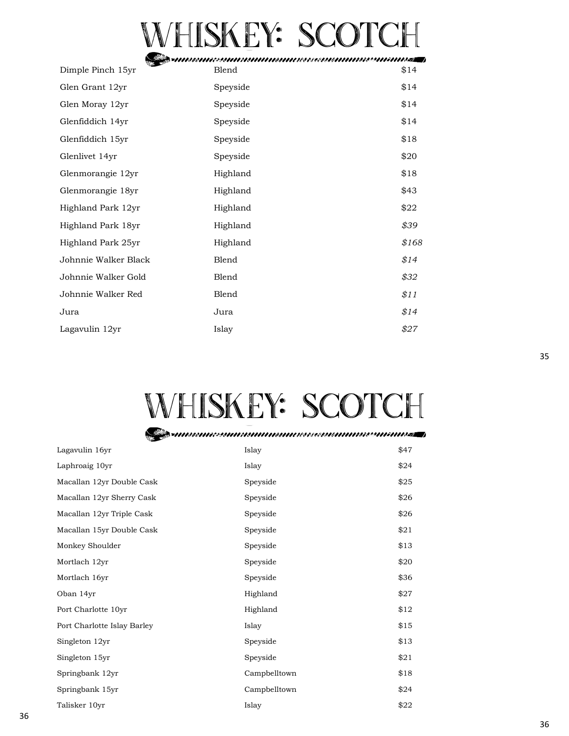# VHISKEY: SCOTCH

Dimple Pinch 15yr Glen Grant 12yr Glen Moray 12yr Glenfiddich 14yr Glenfiddich 15yr Glenlivet 14yr Glenmorangie 12yr Glenmorangie 18yr Highland Park 12yr Highland Park 18yr Highland Park 25yr Johnnie Walker Black Johnnie Walker Gold Johnnie Walker Red Jura Lagavulin 12yr Blend Speyside Speyside Speyside Speyside Speyside Highland Highland Highland Highland Highland Blend Blend Blend Jura Islay \$14 \$14 \$14 \$14 \$18 \$20 \$18 \$43 \$22 *\$39 \$168 \$14 \$32 \$11 \$14 \$27*

## Whiskey: Scotch

| Lagavulin 16yr              | Islay        | \$47 |
|-----------------------------|--------------|------|
| Laphroaig 10yr              | Islay        | \$24 |
| Macallan 12yr Double Cask   | Speyside     | \$25 |
| Macallan 12yr Sherry Cask   | Speyside     | \$26 |
| Macallan 12yr Triple Cask   | Speyside     | \$26 |
| Macallan 15yr Double Cask   | Speyside     | \$21 |
| Monkey Shoulder             | Speyside     | \$13 |
| Mortlach 12yr               | Speyside     | \$20 |
| Mortlach 16yr               | Speyside     | \$36 |
| Oban 14yr                   | Highland     | \$27 |
| Port Charlotte 10yr         | Highland     | \$12 |
| Port Charlotte Islay Barley | Islay        | \$15 |
| Singleton 12yr              | Speyside     | \$13 |
| Singleton 15yr              | Speyside     | \$21 |
| Springbank 12yr             | Campbelltown | \$18 |
| Springbank 15yr             | Campbelltown | \$24 |
| Talisker 10yr               | Islay        | \$22 |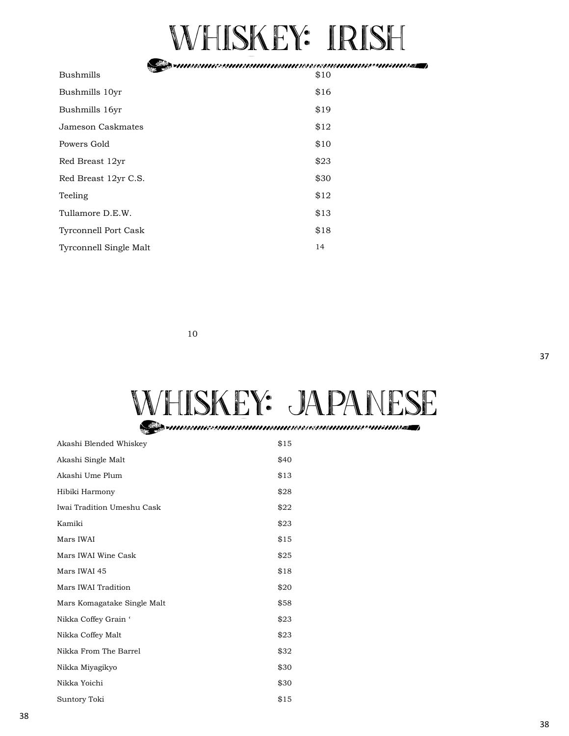## Whiskey: Irish

Sestimos messammanno suures essammas se minnes j

| Bushmills                     | \$10 |
|-------------------------------|------|
| Bushmills 10yr                | \$16 |
| Bushmills 16yr                | \$19 |
| Jameson Caskmates             | \$12 |
| Powers Gold                   | \$10 |
| Red Breast 12yr               | \$23 |
| Red Breast 12yr C.S.          | \$30 |
| Teeling                       | \$12 |
| Tullamore D.E.W.              | \$13 |
| <b>Tyrconnell Port Cask</b>   | \$18 |
| <b>Tyrconnell Single Malt</b> | 14   |

10

# WHISKEY: JAPANESE

| Akashi Blended Whiskey      | \$15 |
|-----------------------------|------|
| Akashi Single Malt          | \$40 |
| Akashi Ume Plum             | \$13 |
| Hibiki Harmony              | \$28 |
| Iwai Tradition Umeshu Cask  | \$22 |
| Kamiki                      | \$23 |
| Mars IWAI                   | \$15 |
| Mars IWAI Wine Cask         | \$25 |
| Mars IWAI 45                | \$18 |
| Mars IWAI Tradition         | \$20 |
| Mars Komagatake Single Malt | \$58 |
| Nikka Coffey Grain '        | \$23 |
| Nikka Coffey Malt           | \$23 |
| Nikka From The Barrel       | \$32 |
| Nikka Miyagikyo             | \$30 |
| Nikka Yoichi                | \$30 |
| Suntory Toki                | \$15 |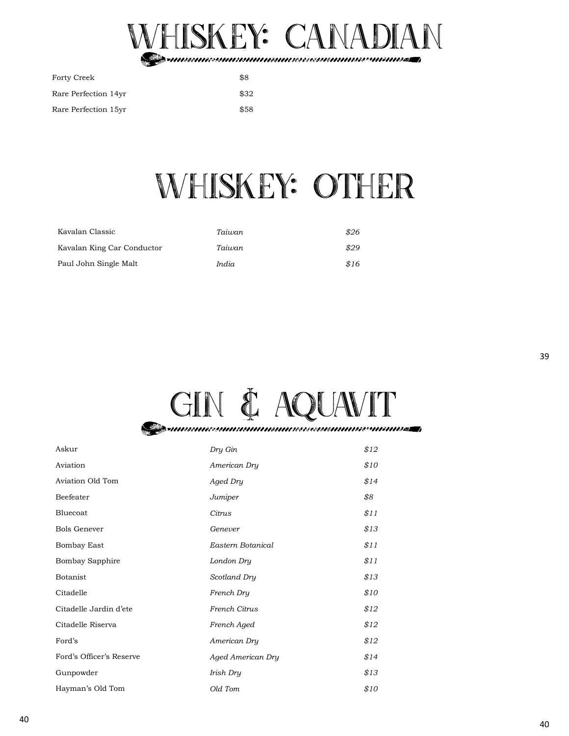

| Forty Creek          | \$8  |
|----------------------|------|
| Rare Perfection 14yr | \$32 |
| Rare Perfection 15yr | \$58 |

## Whiskey: Other

| Kavalan Classic            | Taiwan | \$26 |
|----------------------------|--------|------|
| Kavalan King Car Conductor | Taiwan | \$29 |
| Paul John Single Malt      | India  | \$16 |



| Askur                    | Dry Gin           | \$12 |
|--------------------------|-------------------|------|
| Aviation                 | American Dry      | \$10 |
| Aviation Old Tom         | Aged Dry          | \$14 |
| Beefeater                | Jumiper           | \$8  |
| Bluecoat                 | Citrus            | \$11 |
| <b>Bols Genever</b>      | Genever           | \$13 |
| <b>Bombay East</b>       | Eastern Botanical | \$11 |
| Bombay Sapphire          | London Dry        | \$11 |
| Botanist                 | Scotland Dry      | \$13 |
| Citadelle                | French Dry        | \$10 |
| Citadelle Jardin d'ete   | French Citrus     | \$12 |
| Citadelle Riserva        | French Aged       | \$12 |
| Ford's                   | American Dry      | \$12 |
| Ford's Officer's Reserve | Aged American Dry | \$14 |
| Gunpowder                | Irish Dry         | \$13 |
| Hayman's Old Tom         | Old Tom           | \$10 |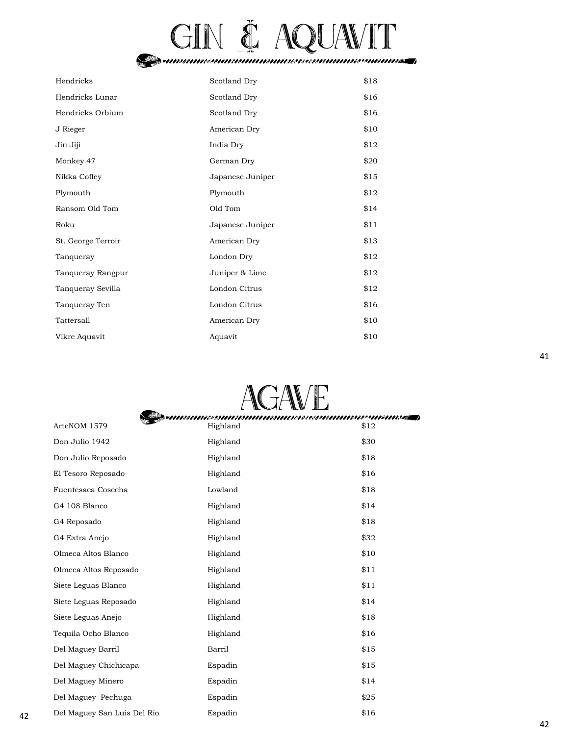# gin & aquavit

| Hendricks          | Scotland Dry     | \$18 |
|--------------------|------------------|------|
| Hendricks Lunar    | Scotland Dry     | \$16 |
| Hendricks Orbium   | Scotland Dry     | \$16 |
| J Rieger           | American Dry     | \$10 |
| Jin Jiji           | India Dry        | \$12 |
| Monkey 47          | German Dry       | \$20 |
| Nikka Coffey       | Japanese Juniper | \$15 |
| Plymouth           | Plymouth         | \$12 |
| Ransom Old Tom     | Old Tom          | \$14 |
| Roku               | Japanese Juniper | \$11 |
| St. George Terroir | American Dry     | \$13 |
| Tanqueray          | London Dry       | \$12 |
| Tanqueray Rangpur  | Juniper & Lime   | \$12 |
| Tanqueray Sevilla  | London Citrus    | \$12 |
| Tanqueray Ten      | London Citrus    | \$16 |
| Tattersall         | American Dry     | \$10 |
| Vikre Aquavit      | Aquavit          | \$10 |



Del Maguey San Luis Del Rio \$16 42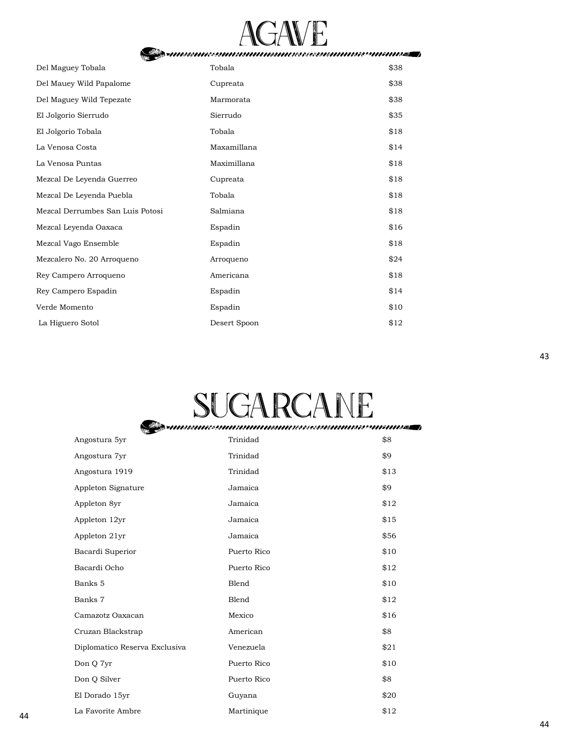

| =111111681111688911116181111111168111111886e8881/11311118689111211118855551112 |              |      |  |
|--------------------------------------------------------------------------------|--------------|------|--|
| Del Maguey Tobala                                                              | Tobala       | \$38 |  |
| Del Mauey Wild Papalome                                                        | Cupreata     | \$38 |  |
| Del Maguey Wild Tepezate                                                       | Marmorata    | \$38 |  |
| El Jolgorio Sierrudo                                                           | Sierrudo     | \$35 |  |
| El Jolgorio Tobala                                                             | Tobala       | \$18 |  |
| La Venosa Costa                                                                | Maxamillana  | \$14 |  |
| La Venosa Puntas                                                               | Maximillana  | \$18 |  |
| Mezcal De Leyenda Guerreo                                                      | Cupreata     | \$18 |  |
| Mezcal De Leyenda Puebla                                                       | Tobala       | \$18 |  |
| Mezcal Derrumbes San Luis Potosi                                               | Salmiana     | \$18 |  |
| Mezcal Leyenda Oaxaca                                                          | Espadin      | \$16 |  |
| Mezcal Vago Ensemble                                                           | Espadin      | \$18 |  |
| Mezcalero No. 20 Arroqueno                                                     | Arroqueno    | \$24 |  |
| Rey Campero Arroqueno                                                          | Americana    | \$18 |  |
| Rey Campero Espadin                                                            | Espadin      | \$14 |  |
| Verde Momento                                                                  | Espadin      | \$10 |  |
| La Higuero Sotol                                                               | Desert Spoon | \$12 |  |

# SUGARCANE

|    | <b>The Company</b>            |             |      |
|----|-------------------------------|-------------|------|
|    | Angostura 5yr                 | Trinidad    | \$8  |
|    | Angostura 7yr                 | Trinidad    | \$9  |
|    | Angostura 1919                | Trinidad    | \$13 |
|    | Appleton Signature            | Jamaica     | \$9  |
|    | Appleton 8yr                  | Jamaica     | \$12 |
|    | Appleton 12yr                 | Jamaica     | \$15 |
|    | Appleton 21yr                 | Jamaica     | \$56 |
|    | Bacardi Superior              | Puerto Rico | \$10 |
|    | Bacardi Ocho                  | Puerto Rico | \$12 |
|    | Banks 5                       | Blend       | \$10 |
|    | Banks 7                       | Blend       | \$12 |
|    | Camazotz Oaxacan              | Mexico      | \$16 |
|    | Cruzan Blackstrap             | American    | \$8  |
|    | Diplomatico Reserva Exclusiva | Venezuela   | \$21 |
|    | Don Q 7yr                     | Puerto Rico | \$10 |
|    | Don Q Silver                  | Puerto Rico | \$8  |
|    | El Dorado 15yr                | Guyana      | \$20 |
| 44 | La Favorite Ambre             | Martinique  | \$12 |
|    |                               |             |      |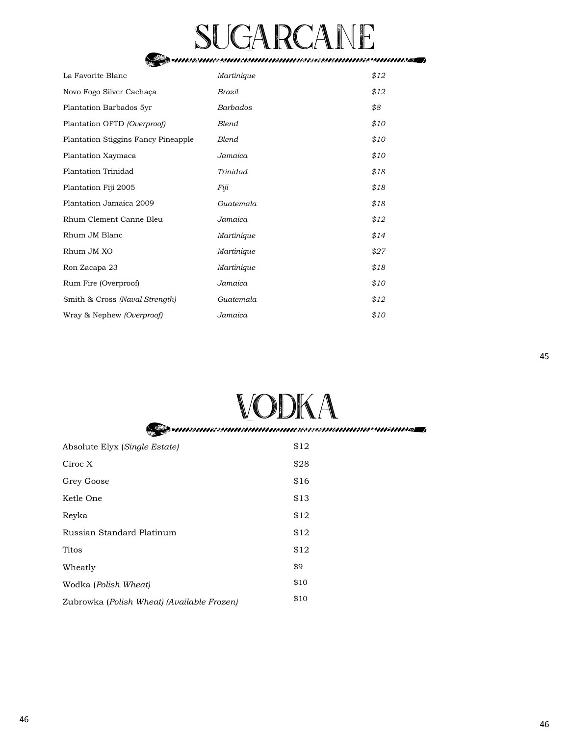# SUGARCANE

| La Favorite Blanc                   | Martinique      | \$12 |
|-------------------------------------|-----------------|------|
| Novo Fogo Silver Cachaça            | Brazil          | \$12 |
| Plantation Barbados 5yr             | <b>Barbados</b> | \$8  |
| Plantation OFTD (Overproof)         | Blend           | \$10 |
| Plantation Stiggins Fancy Pineapple | Blend           | \$10 |
| Plantation Xaymaca                  | Jamaica         | \$10 |
| Plantation Trinidad                 | Trinidad        | \$18 |
| Plantation Fiji 2005                | Fiji            | \$18 |
| Plantation Jamaica 2009             | Guatemala       | \$18 |
| Rhum Clement Canne Bleu             | Jamaica         | \$12 |
| Rhum JM Blanc                       | Martinique      | \$14 |
| Rhum JM XO                          | Martinique      | \$27 |
| Ron Zacapa 23                       | Martinique      | \$18 |
| Rum Fire (Overproof)                | Jamaica         | \$10 |
| Smith & Cross (Naval Strength)      | Guatemala       | \$12 |
| Wray & Nephew <i>(Overproof)</i>    | Jamaica         | \$10 |

# VODKA<br>Samasanasananananasassananassananassa

| Absolute Elyx (Single Estate)              | \$12 |
|--------------------------------------------|------|
| Ciroc X                                    | \$28 |
| Grey Goose                                 | \$16 |
| Ketle One                                  | \$13 |
| Reyka                                      | \$12 |
| Russian Standard Platinum                  | \$12 |
| Titos                                      | \$12 |
| Wheatly                                    | \$9  |
| Wodka (Polish Wheat)                       | \$10 |
| Zubrowka (Polish Wheat) (Available Frozen) | \$10 |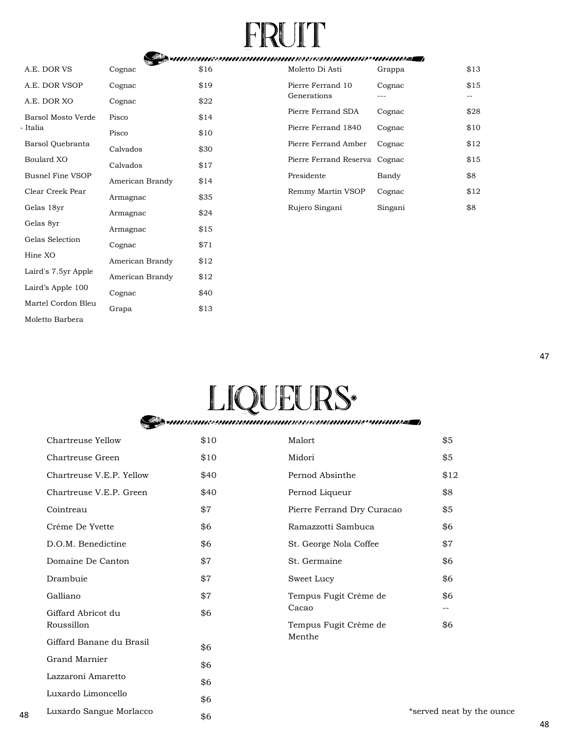# $\mathbb{R} \mathbb{U} \mathbb{T}$

|                         | <b>The Secondary Secondary Secondary Secondary Secondary Secondary Secondary Secondary Secondary Secondary Seconda</b> |      |
|-------------------------|------------------------------------------------------------------------------------------------------------------------|------|
| A.E. DOR VS             | Cognac                                                                                                                 | \$16 |
| A.E. DOR VSOP           | Cognac                                                                                                                 | \$19 |
| A.E. DOR XO             | Cognac                                                                                                                 | \$22 |
| Barsol Mosto Verde      | Pisco                                                                                                                  | \$14 |
| - Italia                | Pisco                                                                                                                  | \$10 |
| Barsol Quebranta        | Calvados                                                                                                               | \$30 |
| Boulard XO              | Calvados                                                                                                               | \$17 |
| <b>Busnel Fine VSOP</b> | American Brandy                                                                                                        | \$14 |
| Clear Creek Pear        | Armagnac                                                                                                               | \$35 |
| Gelas 18yr              | Armagnac                                                                                                               | \$24 |
| Gelas 8yr               | Armagnac                                                                                                               | \$15 |
| Gelas Selection         | Cognac                                                                                                                 | \$71 |
| Hine XO                 | American Brandy                                                                                                        | \$12 |
| Laird's 7.5yr Apple     | American Brandy                                                                                                        | \$12 |
| Laird's Apple 100       | Cognac                                                                                                                 | \$40 |
| Martel Cordon Bleu      | Grapa                                                                                                                  | \$13 |
| Moletto Barbera         |                                                                                                                        |      |

| Moletto Di Asti                  | Grappa  | \$13 |
|----------------------------------|---------|------|
| Pierre Ferrand 10<br>Generations | Cognac  | \$15 |
| Pierre Ferrand SDA               | Cognac  | \$28 |
| Pierre Ferrand 1840              | Cognac  | \$10 |
| Pierre Ferrand Amber             | Cognac  | \$12 |
| Pierre Ferrand Reserva Cognac    |         | \$15 |
| Presidente                       | Bandy   | \$8  |
| Remmy Martin VSOP                | Cognac  | \$12 |
| Rujero Singani                   | Singani | \$8  |
|                                  |         |      |

# LIQUEURS\*

| \$10 | Malort                     | \$5    |
|------|----------------------------|--------|
| \$10 | Midori                     | \$5    |
| \$40 | Pernod Absinthe            | \$1    |
| \$40 | Pernod Liqueur             | \$8    |
| \$7  | Pierre Ferrand Dry Curacao | \$5    |
| \$6  | Ramazzotti Sambuca         | \$6    |
| \$6  | St. George Nola Coffee     | \$7    |
| \$7  | St. Germaine               | \$6    |
| \$7  | Sweet Lucy                 | \$6    |
| \$7  | Tempus Fugit Crème de      | \$6    |
| \$6  | Cacao                      |        |
|      | Tempus Fugit Crème de      | \$6    |
| \$6  |                            |        |
| \$6  |                            |        |
| \$6  |                            |        |
|      |                            | Menthe |

 \$6 \$6

 $\overline{5}$  $\overline{5}$ \$12 \$8  $\frac{1}{2}$ \$6 \$7 5 5 .<br>م 5

48

Luxardo Limoncello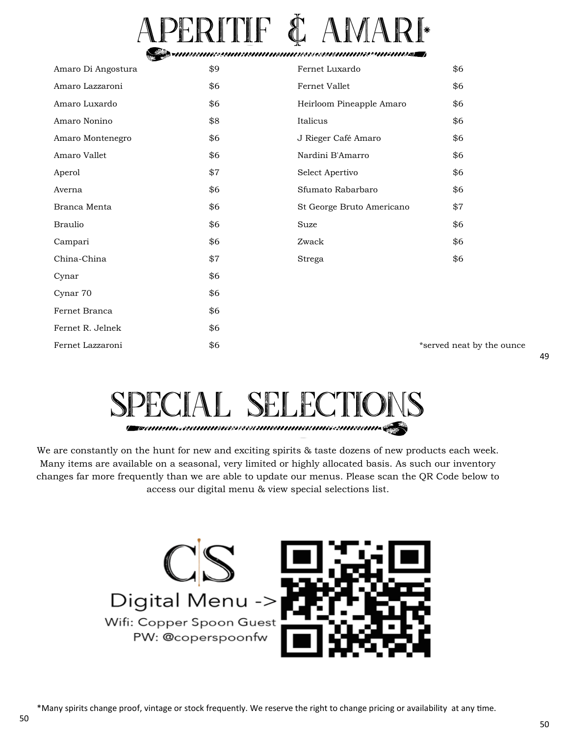# PERITIF & AMARI

| Amaro Di Angostura | \$9 | Fernet Luxardo            | \$6                       |
|--------------------|-----|---------------------------|---------------------------|
| Amaro Lazzaroni    | \$6 | Fernet Vallet             | \$6                       |
| Amaro Luxardo      | \$6 | Heirloom Pineapple Amaro  | \$6                       |
| Amaro Nonino       | \$8 | Italicus                  | \$6                       |
| Amaro Montenegro   | \$6 | J Rieger Café Amaro       | \$6                       |
| Amaro Vallet       | \$6 | Nardini B'Amarro          | \$6                       |
| Aperol             | \$7 | Select Apertivo           | \$6                       |
| Averna             | \$6 | Sfumato Rabarbaro         | \$6                       |
| Branca Menta       | \$6 | St George Bruto Americano | \$7                       |
| <b>Braulio</b>     | \$6 | Suze                      | \$6                       |
| Campari            | \$6 | Zwack                     | \$6                       |
| China-China        | \$7 | Strega                    | \$6                       |
| Cynar              | \$6 |                           |                           |
| Cynar 70           | \$6 |                           |                           |
| Fernet Branca      | \$6 |                           |                           |
| Fernet R. Jelnek   | \$6 |                           |                           |
| Fernet Lazzaroni   | \$6 |                           | *served neat by the ounce |

# SPECIAL SELECTION

We are constantly on the hunt for new and exciting spirits & taste dozens of new products each week. Many items are available on a seasonal, very limited or highly allocated basis. As such our inventory changes far more frequently than we are able to update our menus. Please scan the QR Code below to access our digital menu & view special selections list.